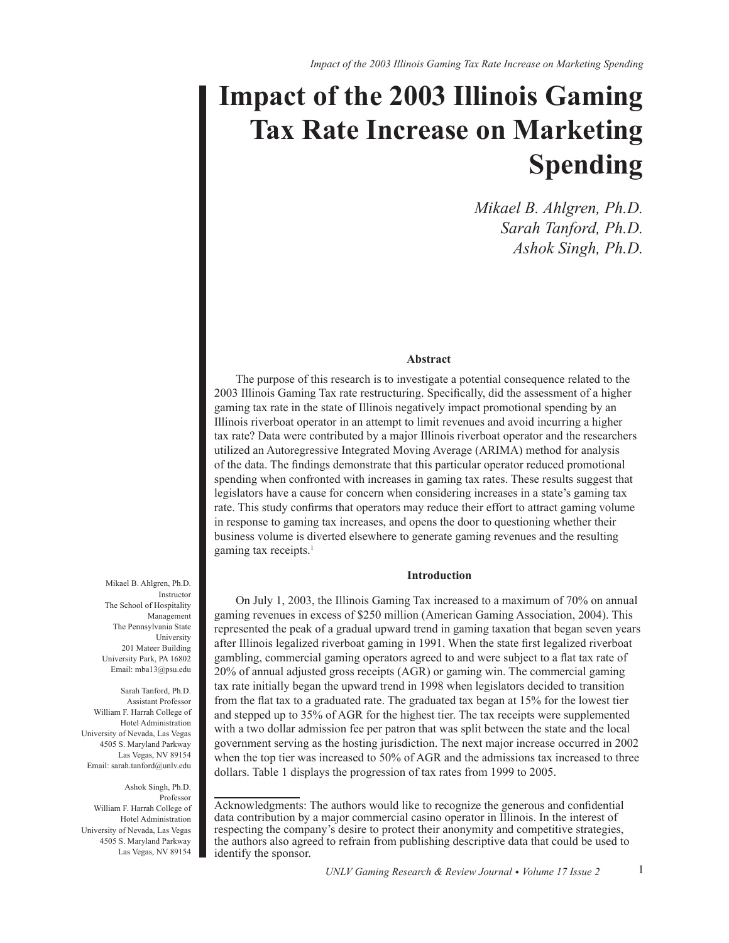# **Impact of the 2003 Illinois Gaming Tax Rate Increase on Marketing Spending**

*Mikael B. Ahlgren, Ph.D. Sarah Tanford, Ph.D. Ashok Singh, Ph.D.*

# **Abstract**

The purpose of this research is to investigate a potential consequence related to the 2003 Illinois Gaming Tax rate restructuring. Specifically, did the assessment of a higher gaming tax rate in the state of Illinois negatively impact promotional spending by an Illinois riverboat operator in an attempt to limit revenues and avoid incurring a higher tax rate? Data were contributed by a major Illinois riverboat operator and the researchers utilized an Autoregressive Integrated Moving Average (ARIMA) method for analysis of the data. The findings demonstrate that this particular operator reduced promotional spending when confronted with increases in gaming tax rates. These results suggest that legislators have a cause for concern when considering increases in a state's gaming tax rate. This study confirms that operators may reduce their effort to attract gaming volume in response to gaming tax increases, and opens the door to questioning whether their business volume is diverted elsewhere to generate gaming revenues and the resulting gaming tax receipts.<sup>1</sup>

# **Introduction**

On July 1, 2003, the Illinois Gaming Tax increased to a maximum of 70% on annual gaming revenues in excess of \$250 million (American Gaming Association, 2004). This represented the peak of a gradual upward trend in gaming taxation that began seven years after Illinois legalized riverboat gaming in 1991. When the state first legalized riverboat gambling, commercial gaming operators agreed to and were subject to a flat tax rate of 20% of annual adjusted gross receipts (AGR) or gaming win. The commercial gaming tax rate initially began the upward trend in 1998 when legislators decided to transition from the flat tax to a graduated rate. The graduated tax began at 15% for the lowest tier and stepped up to 35% of AGR for the highest tier. The tax receipts were supplemented with a two dollar admission fee per patron that was split between the state and the local government serving as the hosting jurisdiction. The next major increase occurred in 2002 when the top tier was increased to 50% of AGR and the admissions tax increased to three dollars. Table 1 displays the progression of tax rates from 1999 to 2005.

Management The Pennsylvania State University 201 Mateer Building University Park, PA 16802 Email: mba13@psu.edu Sarah Tanford, Ph.D.

Mikael B. Ahlgren, Ph.D.

The School of Hospitality

Instructor

Assistant Professor William F. Harrah College of Hotel Administration University of Nevada, Las Vegas 4505 S. Maryland Parkway Las Vegas, NV 89154 Email: sarah.tanford@unlv.edu

Ashok Singh, Ph.D. Professor William F. Harrah College of Hotel Administration University of Nevada, Las Vegas 4505 S. Maryland Parkway Las Vegas, NV 89154

Acknowledgments: The authors would like to recognize the generous and confidential data contribution by a major commercial casino operator in Illinois. In the interest of respecting the company's desire to protect their anonymity and competitive strategies, the authors also agreed to refrain from publishing descriptive data that could be used to identify the sponsor.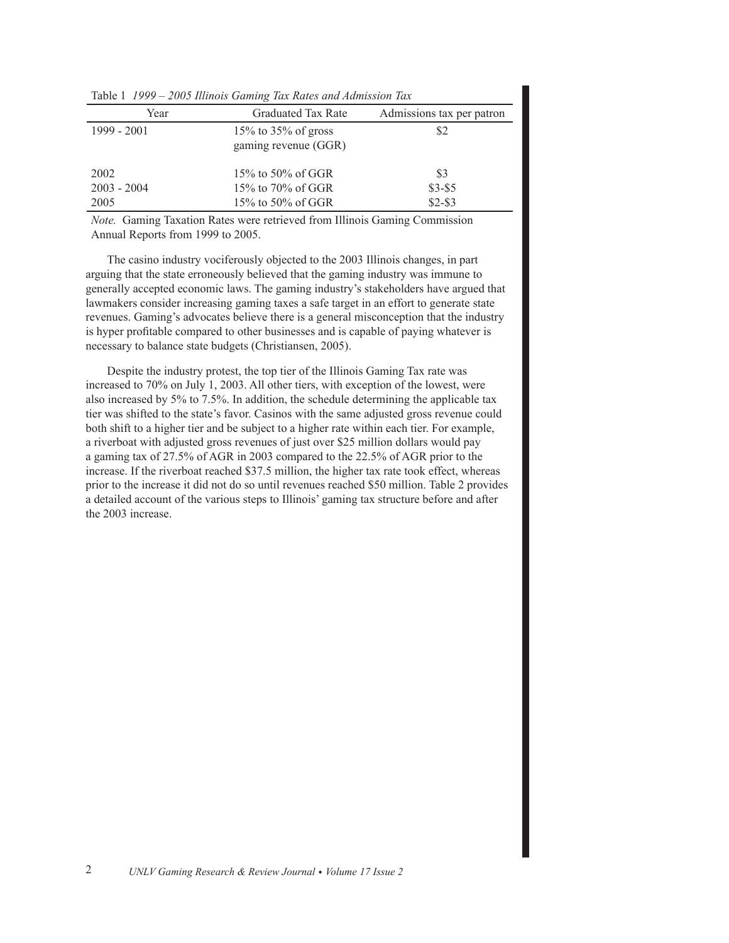| TWOTE T ISSS TOOD INTRODUCED TWO TERRICS WHEN ITERATIONS TOWN |                                                |                           |  |  |
|---------------------------------------------------------------|------------------------------------------------|---------------------------|--|--|
| Year                                                          | <b>Graduated Tax Rate</b>                      | Admissions tax per patron |  |  |
| 1999 - 2001                                                   | $15\%$ to 35% of gross<br>gaming revenue (GGR) | \$2                       |  |  |
| 2002                                                          | 15\% to 50\% of GGR                            | \$3                       |  |  |
| $2003 - 2004$                                                 | 15% to 70% of GGR                              | $$3-$5$                   |  |  |
| 2005                                                          | $15\%$ to 50% of GGR                           | $$2 - $3$                 |  |  |

7DEOH*1999 – 2005 Illinois Gaming Tax Rates and Admission Tax*

*Note.* Gaming Taxation Rates were retrieved from Illinois Gaming Commission Annual Reports from 1999 to 2005.

The casino industry vociferously objected to the 2003 Illinois changes, in part arguing that the state erroneously believed that the gaming industry was immune to generally accepted economic laws. The gaming industry's stakeholders have argued that lawmakers consider increasing gaming taxes a safe target in an effort to generate state revenues. Gaming's advocates believe there is a general misconception that the industry is hyper profitable compared to other businesses and is capable of paying whatever is necessary to balance state budgets (Christiansen, 2005).

Despite the industry protest, the top tier of the Illinois Gaming Tax rate was increased to 70% on July 1, 2003. All other tiers, with exception of the lowest, were also increased by 5% to 7.5%. In addition, the schedule determining the applicable tax tier was shifted to the state's favor. Casinos with the same adjusted gross revenue could both shift to a higher tier and be subject to a higher rate within each tier. For example, a riverboat with adjusted gross revenues of just over \$25 million dollars would pay a gaming tax of 27.5% of AGR in 2003 compared to the 22.5% of AGR prior to the increase. If the riverboat reached \$37.5 million, the higher tax rate took effect, whereas prior to the increase it did not do so until revenues reached \$50 million. Table 2 provides a detailed account of the various steps to Illinois' gaming tax structure before and after the 2003 increase.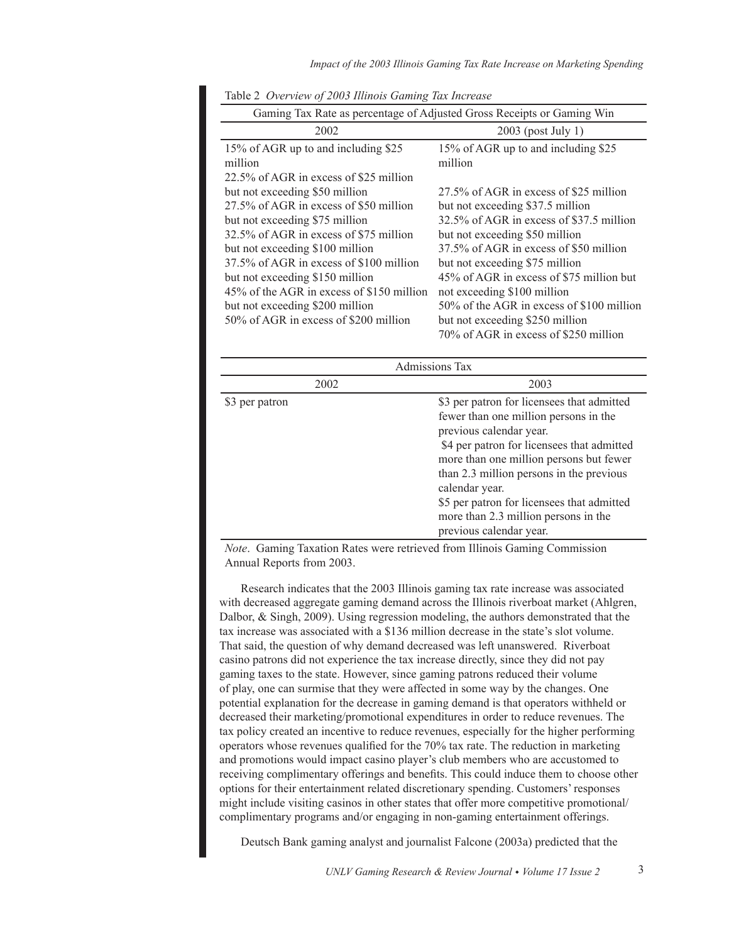| Gaming Tax Rate as percentage of Adjusted Gross Receipts or Gaming Win |                                           |  |
|------------------------------------------------------------------------|-------------------------------------------|--|
| 2002                                                                   | $2003$ (post July 1)                      |  |
| 15% of AGR up to and including \$25                                    | 15% of AGR up to and including \$25       |  |
| million                                                                | million                                   |  |
| 22.5% of AGR in excess of \$25 million                                 |                                           |  |
| but not exceeding \$50 million                                         | 27.5% of AGR in excess of \$25 million    |  |
| 27.5% of AGR in excess of \$50 million                                 | but not exceeding \$37.5 million          |  |
| but not exceeding \$75 million                                         | 32.5% of AGR in excess of \$37.5 million  |  |
| 32.5% of AGR in excess of \$75 million                                 | but not exceeding \$50 million            |  |
| but not exceeding \$100 million                                        | 37.5% of AGR in excess of \$50 million    |  |
| 37.5% of AGR in excess of \$100 million                                | but not exceeding \$75 million            |  |
| but not exceeding \$150 million                                        | 45% of AGR in excess of \$75 million but  |  |
| 45% of the AGR in excess of \$150 million                              | not exceeding \$100 million               |  |
| but not exceeding \$200 million                                        | 50% of the AGR in excess of \$100 million |  |
| 50% of AGR in excess of \$200 million                                  | but not exceeding \$250 million           |  |
|                                                                        | 70% of AGR in excess of \$250 million     |  |

| Admissions Tax |                                                                                                                                                                                                                                                                                                                                                                                        |  |  |
|----------------|----------------------------------------------------------------------------------------------------------------------------------------------------------------------------------------------------------------------------------------------------------------------------------------------------------------------------------------------------------------------------------------|--|--|
| 2002           | 2003                                                                                                                                                                                                                                                                                                                                                                                   |  |  |
| \$3 per patron | \$3 per patron for licensees that admitted<br>fewer than one million persons in the<br>previous calendar year.<br>\$4 per patron for licensees that admitted<br>more than one million persons but fewer<br>than 2.3 million persons in the previous<br>calendar year.<br>\$5 per patron for licensees that admitted<br>more than 2.3 million persons in the<br>previous calendar year. |  |  |

Note. Gaming Taxation Rates were retrieved from Illinois Gaming Commission Annual Reports from 2003.

Research indicates that the 2003 Illinois gaming tax rate increase was associated with decreased aggregate gaming demand across the Illinois riverboat market (Ahlgren, Dalbor, & Singh, 2009). Using regression modeling, the authors demonstrated that the tax increase was associated with a \$136 million decrease in the state's slot volume. That said, the question of why demand decreased was left unanswered. Riverboat casino patrons did not experience the tax increase directly, since they did not pay gaming taxes to the state. However, since gaming patrons reduced their volume of play, one can surmise that they were affected in some way by the changes. One potential explanation for the decrease in gaming demand is that operators withheld or decreased their marketing/promotional expenditures in order to reduce revenues. The tax policy created an incentive to reduce revenues, especially for the higher performing operators whose revenues qualified for the 70% tax rate. The reduction in marketing and promotions would impact casino player's club members who are accustomed to receiving complimentary offerings and benefits. This could induce them to choose other options for their entertainment related discretionary spending. Customers' responses might include visiting casinos in other states that offer more competitive promotional/ complimentary programs and/or engaging in non-gaming entertainment offerings.

Deutsch Bank gaming analyst and journalist Falcone (2003a) predicted that the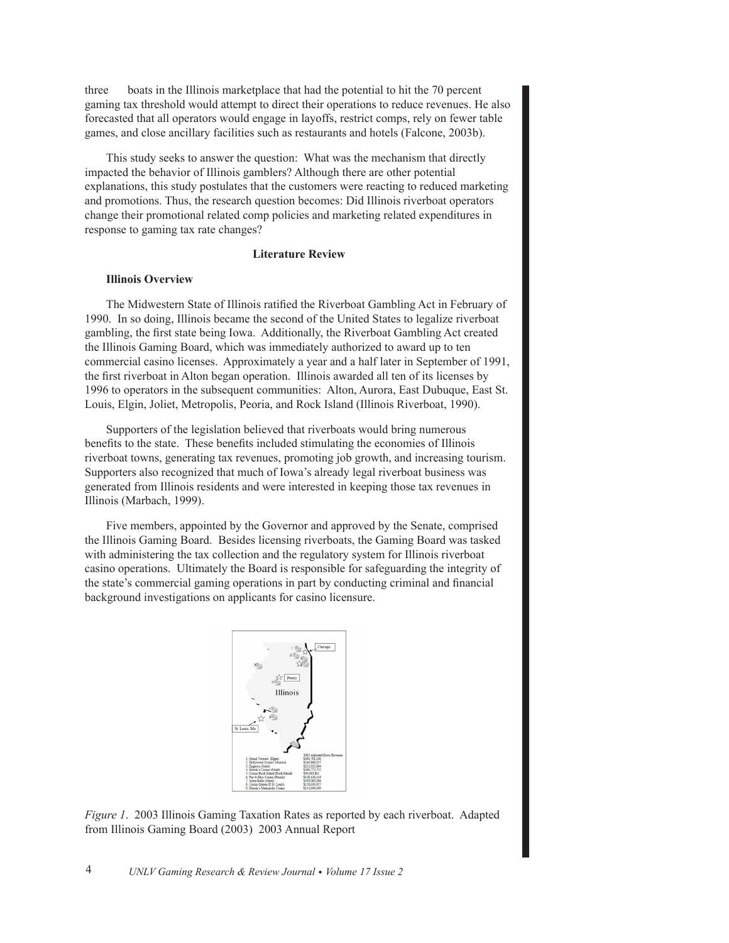three boats in the Illinois market place that had the potential to hit the 70 percent gaming tax threshold would attempt to direct their operations to reduce revenues. He also forecasted that all operators would engage in layoffs, restrict comps, rely on fewer table games, and close ancillary facilities such as restaurants and hotels (Falcone, 2003b).

This study seeks to answer the question: What was the mechanism that directly impacted the behavior of Illinois gamblers? Although there are other potential explanations, this study postulates that the customers were reacting to reduced marketing and promotions. Thus, the research question becomes: Did Illinois riverboat operators change their promotional related comp policies and marketing related expenditures in response to gaming tax rate changes?

# **Literature Review**

## **Illinois Overview**

The Midwestern State of Illinois ratified the Riverboat Gambling Act in February of 1990. In so doing, Illinois became the second of the United States to legalize riverboat gambling, the first state being Iowa. Additionally, the Riverboat Gambling Act created the Illinois Gaming Board, which was immediately authorized to award up to ten commercial casino licenses. Approximately a year and a half later in September of 1991, the first riverboat in Alton began operation. Illinois awarded all ten of its licenses by 1996 to operators in the subsequent communities: Alton, Aurora, East Dubuque, East St. Louis, Elgin, Joliet, Metropolis, Peoria, and Rock Island (Illinois Riverboat, 1990).

Supporters of the legislation believed that riverboats would bring numerous benefits to the state. These benefits included stimulating the economies of Illinois riverboat towns, generating tax revenues, promoting job growth, and increasing tourism. Supporters also recognized that much of Iowa's already legal riverboat business was generated from Illinois residents and were interested in keeping those tax revenues in Illinois (Marbach, 1999).

Five members, appointed by the Governor and approved by the Senate, comprised the Illinois Gaming Board. Besides licensing riverboats, the Gaming Board was tasked with administering the tax collection and the regulatory system for Illinois riverboat casino operations. Ultimately the Board is responsible for safeguarding the integrity of the state's commercial gaming operations in part by conducting criminal and financial background investigations on applicants for casino licensure.



*Figure 1.* 2003 Illinois Gaming Taxation Rates as reported by each riverboat. Adapted from Illinois Gaming Board (2003) 2003 Annual Report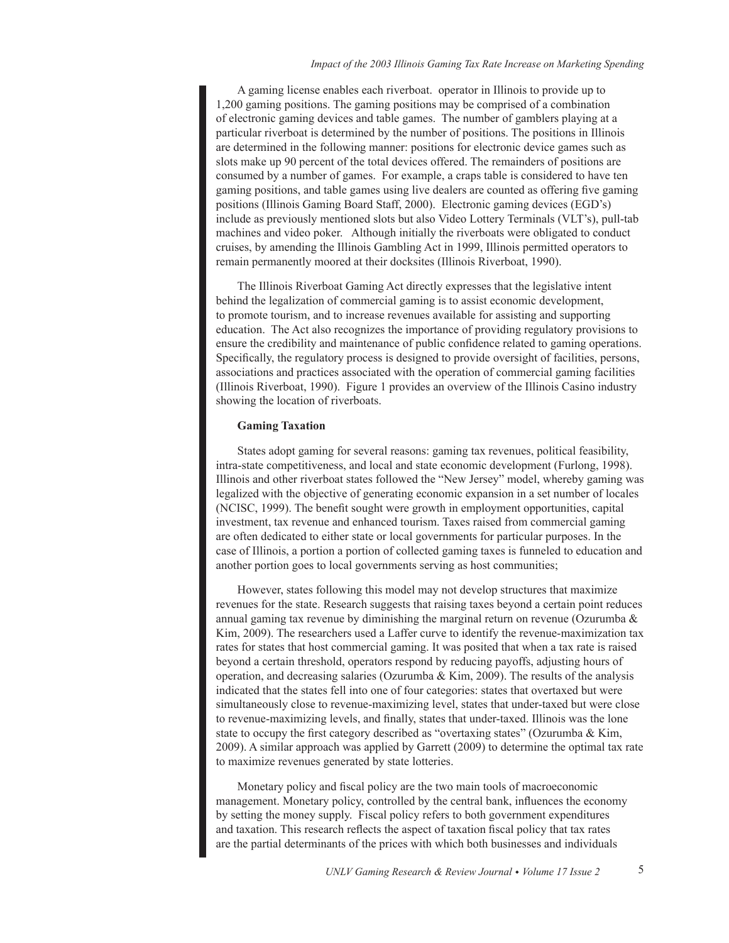## Impact of the 2003 Illinois Gaming Tax Rate Increase on Marketing Spending

A gaming license enables each riverboat. operator in Illinois to provide up to 1,200 gaming positions. The gaming positions may be comprised of a combination of electronic gaming devices and table games. The number of gamblers playing at a particular riverboat is determined by the number of positions. The positions in Illinois are determined in the following manner: positions for electronic device games such as slots make up 90 percent of the total devices offered. The remainders of positions are consumed by a number of games. For example, a craps table is considered to have ten gaming positions, and table games using live dealers are counted as offering five gaming positions (Illinois Gaming Board Staff, 2000). Electronic gaming devices (EGD's) include as previously mentioned slots but also Video Lottery Terminals (VLT's), pull-tab machines and video poker. Although initially the riverboats were obligated to conduct cruises, by amending the Illinois Gambling Act in 1999, Illinois permitted operators to remain permanently moored at their docksites (Illinois Riverboat, 1990).

The Illinois Riverboat Gaming Act directly expresses that the legislative intent behind the legalization of commercial gaming is to assist economic development, to promote tourism, and to increase revenues available for assisting and supporting education. The Act also recognizes the importance of providing regulatory provisions to ensure the credibility and maintenance of public confidence related to gaming operations. Specifically, the regulatory process is designed to provide oversight of facilities, persons, associations and practices associated with the operation of commercial gaming facilities (Illinois Riverboat, 1990). Figure 1 provides an overview of the Illinois Casino industry showing the location of riverboats.

# **Gaming Taxation**

States adopt gaming for several reasons: gaming tax revenues, political feasibility, intra-state competitiveness, and local and state economic development (Furlong, 1998). Illinois and other riverboat states followed the "New Jersey" model, whereby gaming was legalized with the objective of generating economic expansion in a set number of locales (NCISC, 1999). The benefit sought were growth in employment opportunities, capital investment, tax revenue and enhanced tourism. Taxes raised from commercial gaming are often dedicated to either state or local governments for particular purposes. In the case of Illinois, a portion a portion of collected gaming taxes is funneled to education and another portion goes to local governments serving as host communities;

However, states following this model may not develop structures that maximize revenues for the state. Research suggests that raising taxes beyond a certain point reduces annual gaming tax revenue by diminishing the marginal return on revenue (Ozurumba  $\&$ Kim, 2009). The researchers used a Laffer curve to identify the revenue-maximization tax rates for states that host commercial gaming. It was posited that when a tax rate is raised beyond a certain threshold, operators respond by reducing payoffs, adjusting hours of operation, and decreasing salaries (Ozurumba & Kim, 2009). The results of the analysis indicated that the states fell into one of four categories: states that overtaxed but were simultaneously close to revenue-maximizing level, states that under-taxed but were close to revenue-maximizing levels, and finally, states that under-taxed. Illinois was the lone state to occupy the first category described as "overtaxing states" (Ozurumba & Kim, 2009). A similar approach was applied by Garrett (2009) to determine the optimal tax rate to maximize revenues generated by state lotteries.

Monetary policy and fiscal policy are the two main tools of macroeconomic management. Monetary policy, controlled by the central bank, influences the economy by setting the money supply. Fiscal policy refers to both government expenditures and taxation. This research reflects the aspect of taxation fiscal policy that tax rates are the partial determinants of the prices with which both businesses and individuals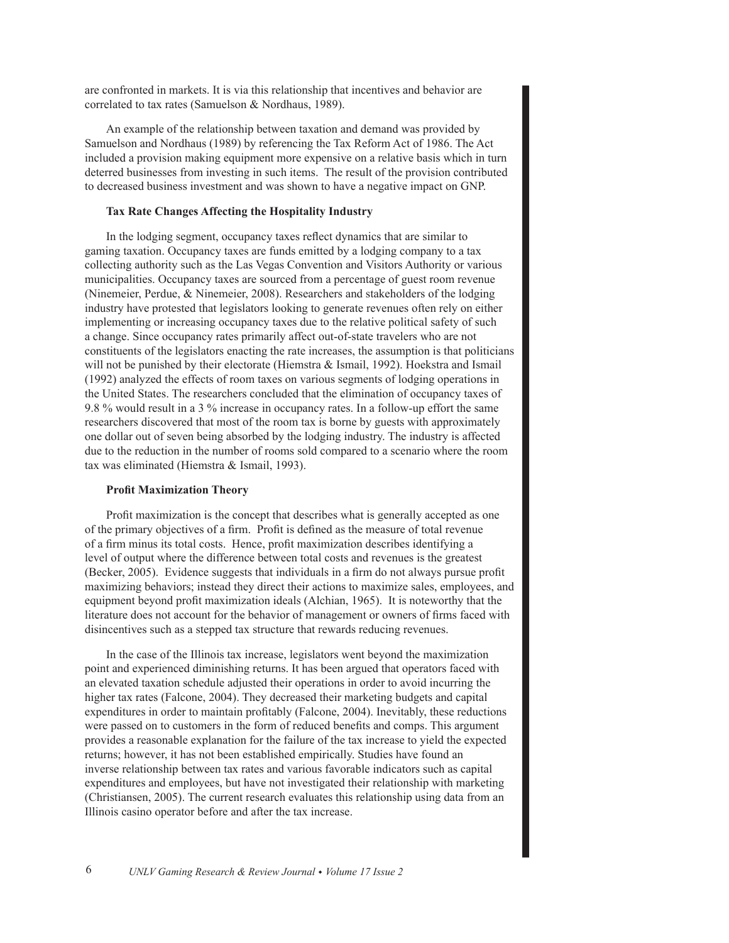are confronted in markets. It is via this relationship that incentives and behavior are correlated to tax rates (Samuelson & Nordhaus, 1989).

An example of the relationship between taxation and demand was provided by Samuelson and Nordhaus (1989) by referencing the Tax Reform Act of 1986. The Act included a provision making equipment more expensive on a relative basis which in turn deterred businesses from investing in such items. The result of the provision contributed to decreased business investment and was shown to have a negative impact on GNP.

# **Tax Rate Changes Affecting the Hospitality Industry**

In the lodging segment, occupancy taxes reflect dynamics that are similar to gaming taxation. Occupancy taxes are funds emitted by a lodging company to a tax collecting authority such as the Las Vegas Convention and Visitors Authority or various municipalities. Occupancy taxes are sourced from a percentage of guest room revenue (Ninemeier, Perdue, & Ninemeier, 2008). Researchers and stakeholders of the lodging industry have protested that legislators looking to generate revenues often rely on either implementing or increasing occupancy taxes due to the relative political safety of such a change. Since occupancy rates primarily affect out-of-state travelers who are not constituents of the legislators enacting the rate increases, the assumption is that politicians will not be punished by their electorate (Hiemstra & Ismail, 1992). Hoekstra and Ismail (1992) analyzed the effects of room taxes on various segments of lodging operations in the United States. The researchers concluded that the elimination of occupancy taxes of 9.8 % would result in a 3 % increase in occupancy rates. In a follow-up effort the same researchers discovered that most of the room tax is borne by guests with approximately one dollar out of seven being absorbed by the lodging industry. The industry is affected due to the reduction in the number of rooms sold compared to a scenario where the room tax was eliminated (Hiemstra  $&$  Ismail, 1993).

## **Profit Maximization Theory**

Profit maximization is the concept that describes what is generally accepted as one of the primary objectives of a firm. Profit is defined as the measure of total revenue of a firm minus its total costs. Hence, profit maximization describes identifying a level of output where the difference between total costs and revenues is the greatest (Becker, 2005). Evidence suggests that individuals in a firm do not always pursue profit maximizing behaviors; instead they direct their actions to maximize sales, employees, and equipment beyond profit maximization ideals (Alchian, 1965). It is noteworthy that the literature does not account for the behavior of management or owners of firms faced with disincentives such as a stepped tax structure that rewards reducing revenues.

In the case of the Illinois tax increase, legislators went beyond the maximization point and experienced diminishing returns. It has been argued that operators faced with an elevated taxation schedule adjusted their operations in order to avoid incurring the higher tax rates (Falcone, 2004). They decreased their marketing budgets and capital expenditures in order to maintain profitably (Falcone, 2004). Inevitably, these reductions were passed on to customers in the form of reduced benefits and comps. This argument provides a reasonable explanation for the failure of the tax increase to yield the expected returns; however, it has not been established empirically. Studies have found an inverse relationship between tax rates and various favorable indicators such as capital expenditures and employees, but have not investigated their relationship with marketing (Christiansen, 2005). The current research evaluates this relationship using data from an Illinois casino operator before and after the tax increase.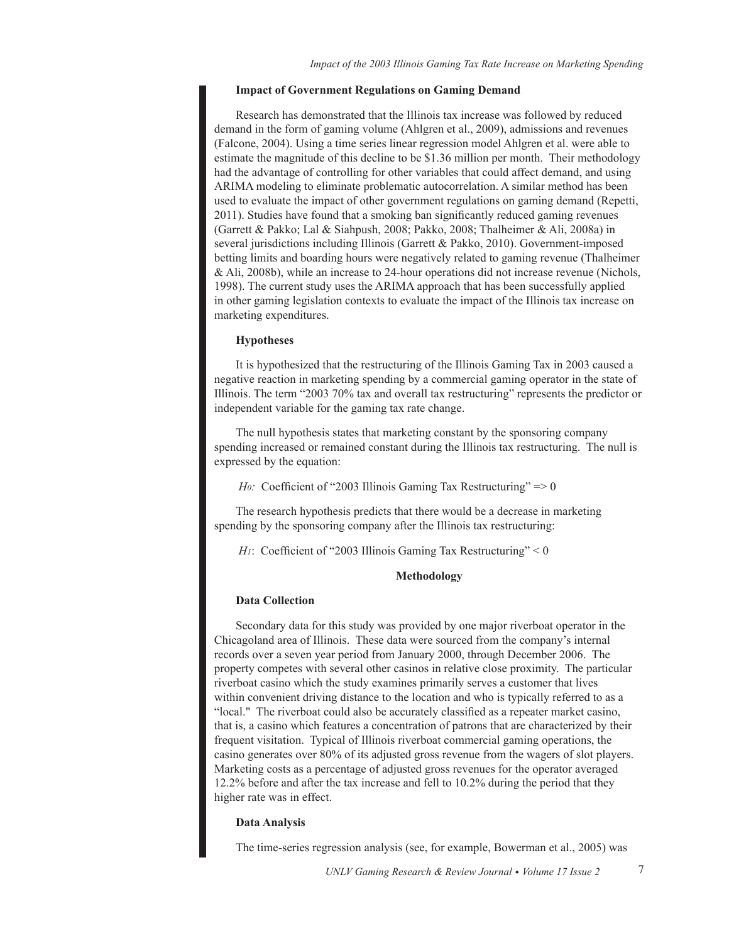# **Impact of Government Regulations on Gaming Demand**

Research has demonstrated that the Illinois tax increase was followed by reduced demand in the form of gaming volume (Ahlgren et al., 2009), admissions and revenues (Falcone, 2004). Using a time series linear regression model Ahlgren et al. were able to estimate the magnitude of this decline to be \$1.36 million per month. Their methodology had the advantage of controlling for other variables that could affect demand, and using ARIMA modeling to eliminate problematic autocorrelation. A similar method has been used to evaluate the impact of other government regulations on gaming demand (Repetti, 2011). Studies have found that a smoking ban significantly reduced gaming revenues (Garrett & Pakko; Lal & Siahpush, 2008; Pakko, 2008; Thalheimer & Ali, 2008a) in several jurisdictions including Illinois (Garrett & Pakko, 2010). Government-imposed betting limits and boarding hours were negatively related to gaming revenue (Thalheimer & Ali, 2008b), while an increase to 24-hour operations did not increase revenue (Nichols, 1998). The current study uses the ARIMA approach that has been successfully applied in other gaming legislation contexts to evaluate the impact of the Illinois tax increase on marketing expenditures.

# **Hypotheses**

It is hypothesized that the restructuring of the Illinois Gaming Tax in 2003 caused a negative reaction in marketing spending by a commercial gaming operator in the state of Illinois. The term "2003 70% tax and overall tax restructuring" represents the predictor or independent variable for the gaming tax rate change.

The null hypothesis states that marketing constant by the sponsoring company spending increased or remained constant during the Illinois tax restructuring. The null is expressed by the equation:

Ho: Coefficient of "2003 Illinois Gaming Tax Restructuring" => 0

The research hypothesis predicts that there would be a decrease in marketing spending by the sponsoring company after the Illinois tax restructuring:

H<sub>1</sub>: Coefficient of "2003 Illinois Gaming Tax Restructuring" < 0

# Methodology

## **Data Collection**

Secondary data for this study was provided by one major riverboat operator in the Chicagoland area of Illinois. These data were sourced from the company's internal records over a seven year period from January 2000, through December 2006. The property competes with several other casinos in relative close proximity. The particular riverboat casino which the study examines primarily serves a customer that lives within convenient driving distance to the location and who is typically referred to as a "local." The riverboat could also be accurately classified as a repeater market casino, that is, a casino which features a concentration of patrons that are characterized by their frequent visitation. Typical of Illinois riverboat commercial gaming operations, the casino generates over 80% of its adjusted gross revenue from the wagers of slot players. Marketing costs as a percentage of adjusted gross revenues for the operator averaged 12.2% before and after the tax increase and fell to 10.2% during the period that they higher rate was in effect.

# **Data Analysis**

The time-series regression analysis (see, for example, Bowerman et al., 2005) was

 $\overline{7}$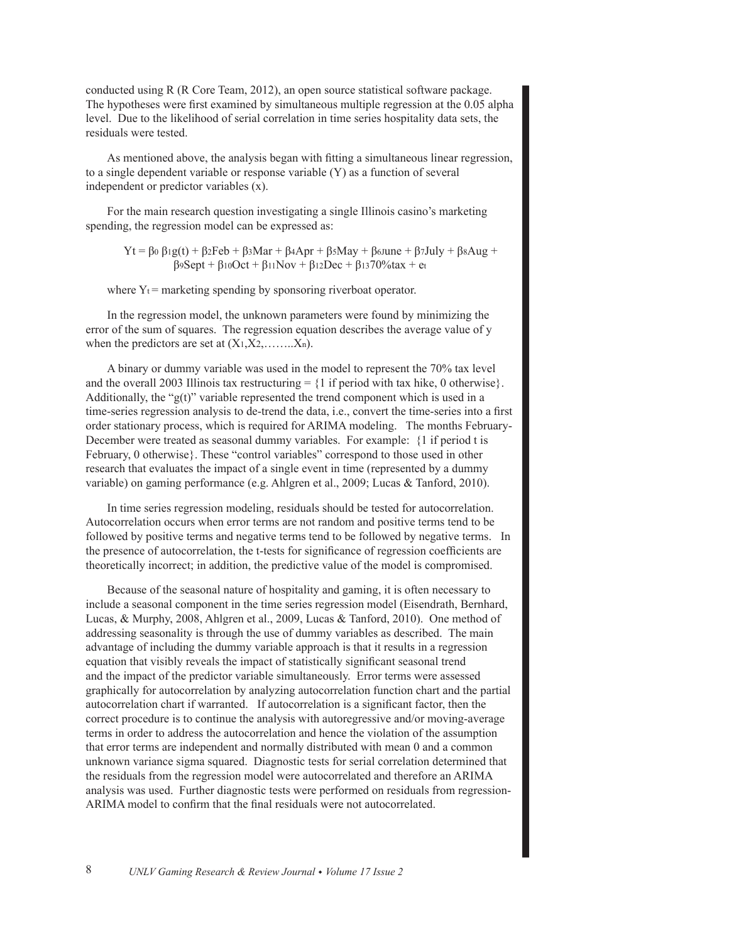conducted using R (R Core Team, 2012), an open source statistical software package. The hypotheses were first examined by simultaneous multiple regression at the 0.05 alpha level. Due to the likelihood of serial correlation in time series hospitality data sets, the residuals were tested.

As mentioned above, the analysis began with fitting a simultaneous linear regression, to a single dependent variable or response variable  $(Y)$  as a function of several independent or predictor variables  $(x)$ .

For the main research question investigating a single Illinois casino's marketing spending, the regression model can be expressed as:

 $Yt = \beta_0 \beta_1 g(t) + \beta_2 \text{Feb} + \beta_3 \text{Mar} + \beta_4 \text{Apr} + \beta_5 \text{May} + \beta_6 \text{June} + \beta_7 \text{July} + \beta_8 \text{Aug} +$  $\beta$ 9Sept +  $\beta$ 10Oct +  $\beta$ 11Nov +  $\beta$ 12Dec +  $\beta$ 1370%tax + et

where  $Y_t$  = marketing spending by sponsoring riverboat operator.

In the regression model, the unknown parameters were found by minimizing the error of the sum of squares. The regression equation describes the average value of y when the predictors are set at  $(X_1, X_2, \ldots, X_n)$ .

A binary or dummy variable was used in the model to represent the 70% tax level and the overall 2003 Illinois tax restructuring  $= \{1 \text{ if period with tax like, } 0 \text{ otherwise} \}.$ Additionally, the " $g(t)$ " variable represented the trend component which is used in a time-series regression analysis to de-trend the data, i.e., convert the time-series into a first order stationary process, which is required for ARIMA modeling. The months February-December were treated as seasonal dummy variables. For example: {1 if period t is February, 0 otherwise}. These "control variables" correspond to those used in other research that evaluates the impact of a single event in time (represented by a dummy variable) on gaming performance (e.g. Ahlgren et al., 2009; Lucas & Tanford, 2010).

In time series regression modeling, residuals should be tested for autocorrelation. Autocorrelation occurs when error terms are not random and positive terms tend to be followed by positive terms and negative terms tend to be followed by negative terms. In the presence of autocorrelation, the t-tests for significance of regression coefficients are theoretically incorrect; in addition, the predictive value of the model is compromised.

Because of the seasonal nature of hospitality and gaming, it is often necessary to include a seasonal component in the time series regression model (Eisendrath, Bernhard, Lucas, & Murphy, 2008, Ahlgren et al., 2009, Lucas & Tanford, 2010). One method of addressing seasonality is through the use of dummy variables as described. The main advantage of including the dummy variable approach is that it results in a regression equation that visibly reveals the impact of statistically significant seasonal trend and the impact of the predictor variable simultaneously. Error terms were assessed graphically for autocorrelation by analyzing autocorrelation function chart and the partial autocorrelation chart if warranted. If autocorrelation is a significant factor, then the correct procedure is to continue the analysis with autoregressive and/or moving-average terms in order to address the autocorrelation and hence the violation of the assumption that error terms are independent and normally distributed with mean 0 and a common unknown variance sigma squared. Diagnostic tests for serial correlation determined that the residuals from the regression model were autocorrelated and therefore an ARIMA analysis was used. Further diagnostic tests were performed on residuals from regression-ARIMA model to confirm that the final residuals were not autocorrelated.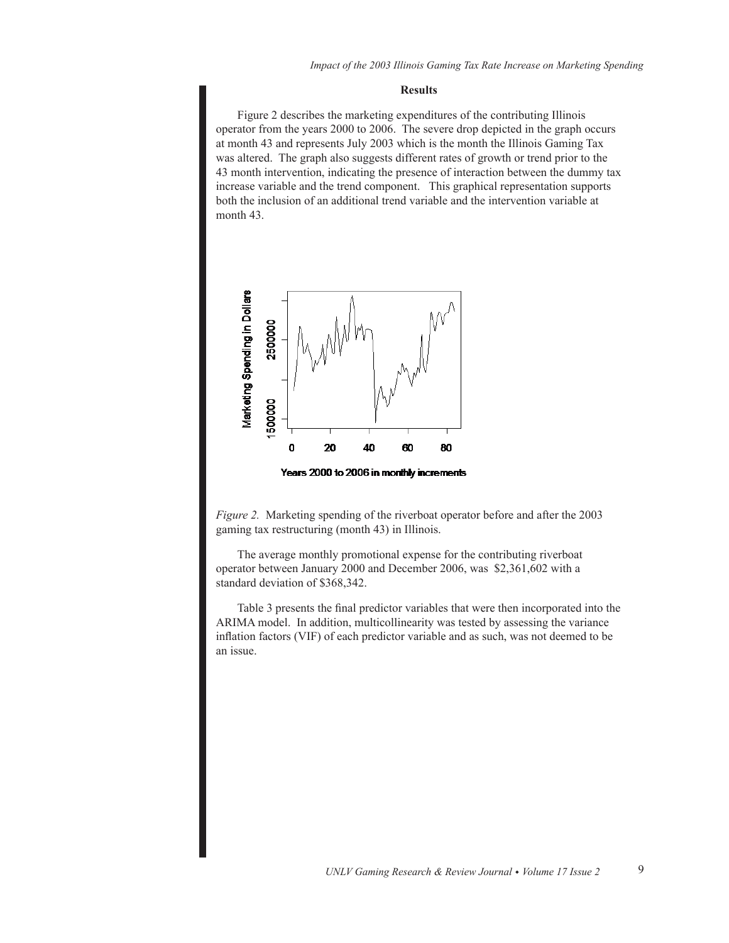#### **Results**

Figure 2 describes the marketing expenditures of the contributing Illinois operator from the years 2000 to 2006. The severe drop depicted in the graph occurs at month 43 and represents July 2003 which is the month the Illinois Gaming Tax was altered. The graph also suggests different rates of growth or trend prior to the 43 month intervention, indicating the presence of interaction between the dummy tax increase variable and the trend component. This graphical representation supports both the inclusion of an additional trend variable and the intervention variable at month 43.



Years 2000 to 2006 in monthly increments

*Figure 2.* Marketing spending of the riverboat operator before and after the 2003 gaming tax restructuring (month 43) in Illinois.

The average monthly promotional expense for the contributing riverboat operator between January 2000 and December 2006, was \$2,361,602 with a standard deviation of \$368,342.

Table 3 presents the final predictor variables that were then incorporated into the ARIMA model. In addition, multicollinearity was tested by assessing the variance inflation factors (VIF) of each predictor variable and as such, was not deemed to be an issue.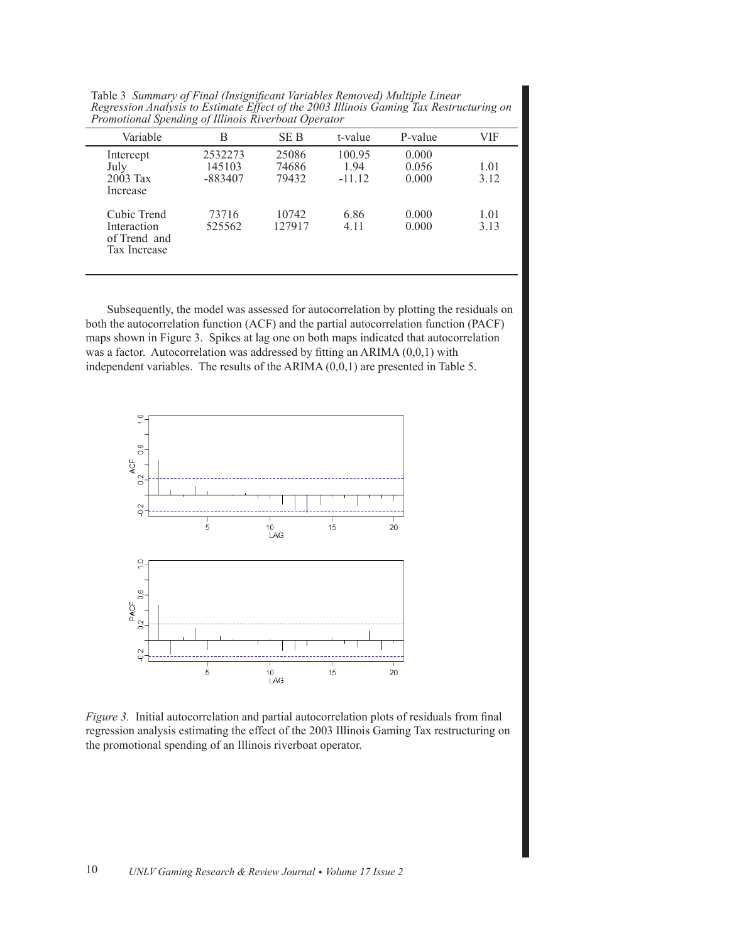Table 3 Summary of Final (Insignificant Variables Removed) Multiple Linear *Regression Analysis to Estimate Effect of the 2003 Illinois Gaming Tax Restructuring on*  **Promotional Spending of Illinois Riverboat Operator** 

| Variable                                                   | В                            | SE B                    | t-value                    | P-value                 | VIF          |
|------------------------------------------------------------|------------------------------|-------------------------|----------------------------|-------------------------|--------------|
| Intercept<br>July<br>$2003$ Tax<br>Increase                | 2532273<br>145103<br>-883407 | 25086<br>74686<br>79432 | 100.95<br>1.94<br>$-11.12$ | 0.000<br>0.056<br>0.000 | 1.01<br>3.12 |
| Cubic Trend<br>Interaction<br>of Trend and<br>Tax Increase | 73716<br>525562              | 10742<br>127917         | 6.86<br>4.11               | 0.000<br>0.000          | 1.01<br>3.13 |

Subsequently, the model was assessed for autocorrelation by plotting the residuals on both the autocorrelation function (ACF) and the partial autocorrelation function (PACF) maps shown in Figure 3. Spikes at lag one on both maps indicated that autocorrelation was a factor. Autocorrelation was addressed by fitting an ARIMA  $(0,0,1)$  with independent variables. The results of the ARIMA  $(0,0,1)$  are presented in Table 5.



*Figure 3.* Initial autocorrelation and partial autocorrelation plots of residuals from final regression analysis estimating the effect of the 2003 Illinois Gaming Tax restructuring on the promotional spending of an Illinois riverboat operator.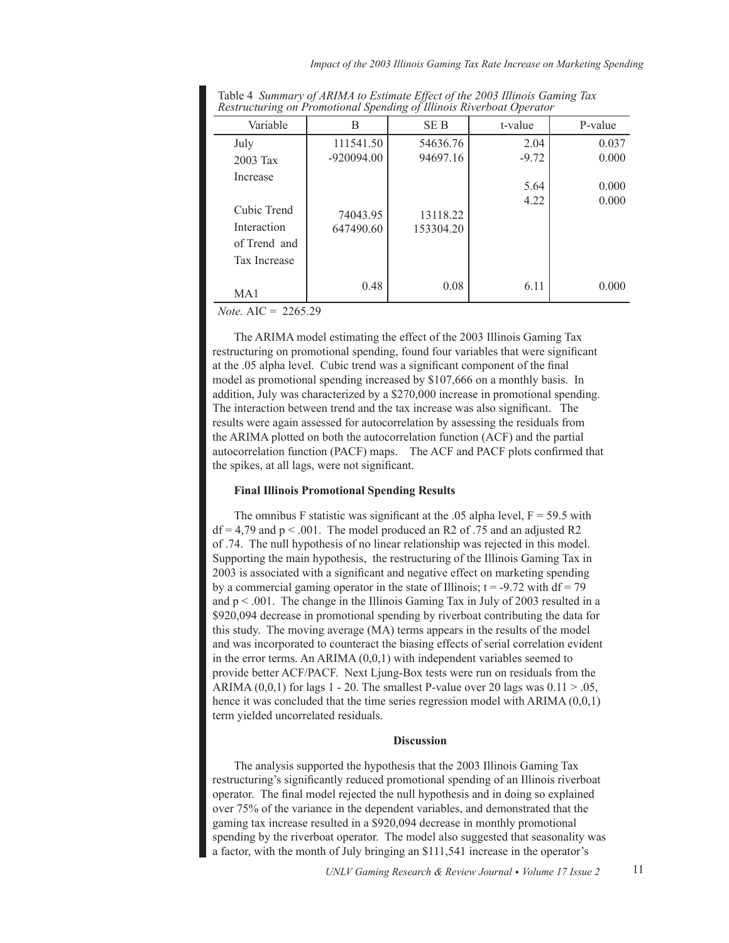|                                                                               | $\cdots$ $\cdots$     |                       |              |                |  |
|-------------------------------------------------------------------------------|-----------------------|-----------------------|--------------|----------------|--|
| Variable                                                                      | В                     | SE B                  | t-value      | P-value        |  |
| July                                                                          | 111541.50             | 54636.76              | 2.04         | 0.037          |  |
| $2003$ Tax                                                                    | $-920094.00$          | 94697.16              | $-9.72$      | 0.000          |  |
| Increase<br>Cubic Trend<br>Interaction<br>of Trend and<br><b>Tax Increase</b> | 74043.95<br>647490.60 | 13118.22<br>153304.20 | 5.64<br>4.22 | 0.000<br>0.000 |  |
| MA <sub>1</sub>                                                               | 0.48                  | 0.08                  | 6.11         | 0.000          |  |

Table 4 Summary of ARIMA to Estimate Effect of the 2003 Illinois Gaming Tax *Restructuring on Promotional Spending of Illinois Riverboat Operator* 

*Note.*  $AIC = 2265.29$ 

The ARIMA model estimating the effect of the 2003 Illinois Gaming Tax restructuring on promotional spending, found four variables that were significant at the .05 alpha level. Cubic trend was a significant component of the final model as promotional spending increased by  $$107,666$  on a monthly basis. In addition, July was characterized by a  $$270,000$  increase in promotional spending. The interaction between trend and the tax increase was also significant. The results were again assessed for autocorrelation by assessing the residuals from the ARIMA plotted on both the autocorrelation function (ACF) and the partial autocorrelation function (PACF) maps. The ACF and PACF plots confirmed that the spikes, at all lags, were not significant.

# **Final Illinois Promotional Spending Results**

The omnibus F statistic was significant at the .05 alpha level,  $F = 59.5$  with  $df = 4.79$  and  $p < .001$ . The model produced an R2 of .75 and an adjusted R2 of .74. The null hypothesis of no linear relationship was rejected in this model. Supporting the main hypothesis, the restructuring of the Illinois Gaming Tax in 2003 is associated with a significant and negative effect on marketing spending by a commercial gaming operator in the state of Illinois;  $t = -9.72$  with  $df = 79$ and  $p < .001$ . The change in the Illinois Gaming Tax in July of 2003 resulted in a \$920,094 decrease in promotional spending by riverboat contributing the data for this study. The moving average (MA) terms appears in the results of the model and was incorporated to counteract the biasing effects of serial correlation evident in the error terms. An ARIMA  $(0,0,1)$  with independent variables seemed to provide better ACF/PACF. Next Ljung-Box tests were run on residuals from the ARIMA  $(0,0,1)$  for lags 1 - 20. The smallest P-value over 20 lags was  $0.11 > 0.05$ , hence it was concluded that the time series regression model with ARIMA  $(0,0,1)$ term yielded uncorrelated residuals.

#### **Discussion**

The analysis supported the hypothesis that the 2003 Illinois Gaming Tax restructuring's significantly reduced promotional spending of an Illinois riverboat operator. The final model rejected the null hypothesis and in doing so explained over 75% of the variance in the dependent variables, and demonstrated that the gaming tax increase resulted in a \$920,094 decrease in monthly promotional spending by the riverboat operator. The model also suggested that seasonality was a factor, with the month of July bringing an \$111,541 increase in the operator's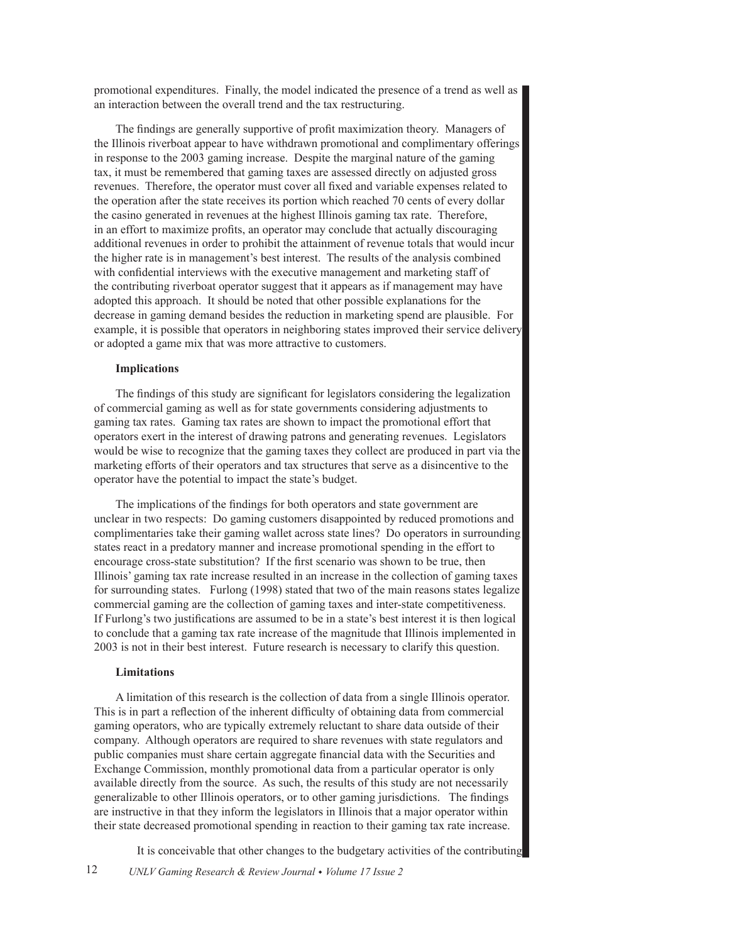promotional expenditures. Finally, the model indicated the presence of a trend as well as an interaction between the overall trend and the tax restructuring.

The findings are generally supportive of profit maximization theory. Managers of the Illinois riverboat appear to have withdrawn promotional and complimentary offerings in response to the 2003 gaming increase. Despite the marginal nature of the gaming tax, it must be remembered that gaming taxes are assessed directly on adjusted gross revenues. Therefore, the operator must cover all fixed and variable expenses related to the operation after the state receives its portion which reached 70 cents of every dollar the casino generated in revenues at the highest Illinois gaming tax rate. Therefore, in an effort to maximize profits, an operator may conclude that actually discouraging additional revenues in order to prohibit the attainment of revenue totals that would incur the higher rate is in management's best interest. The results of the analysis combined with confidential interviews with the executive management and marketing staff of the contributing riverboat operator suggest that it appears as if management may have adopted this approach. It should be noted that other possible explanations for the decrease in gaming demand besides the reduction in marketing spend are plausible. For example, it is possible that operators in neighboring states improved their service delivery or adopted a game mix that was more attractive to customers.

#### **Implications**

The findings of this study are significant for legislators considering the legalization of commercial gaming as well as for state governments considering adjustments to gaming tax rates. Gaming tax rates are shown to impact the promotional effort that operators exert in the interest of drawing patrons and generating revenues. Legislators would be wise to recognize that the gaming taxes they collect are produced in part via the marketing efforts of their operators and tax structures that serve as a disincentive to the operator have the potential to impact the state's budget.

The implications of the findings for both operators and state government are unclear in two respects: Do gaming customers disappointed by reduced promotions and complimentaries take their gaming wallet across state lines? Do operators in surrounding states react in a predatory manner and increase promotional spending in the effort to encourage cross-state substitution? If the first scenario was shown to be true, then Illinois' gaming tax rate increase resulted in an increase in the collection of gaming taxes for surrounding states. Furlong (1998) stated that two of the main reasons states legalize commercial gaming are the collection of gaming taxes and inter-state competitiveness. If Furlong's two justifications are assumed to be in a state's best interest it is then logical to conclude that a gaming tax rate increase of the magnitude that Illinois implemented in 2003 is not in their best interest. Future research is necessary to clarify this question.

#### **Limitations**

A limitation of this research is the collection of data from a single Illinois operator. This is in part a reflection of the inherent difficulty of obtaining data from commercial gaming operators, who are typically extremely reluctant to share data outside of their company. Although operators are required to share revenues with state regulators and public companies must share certain aggregate financial data with the Securities and Exchange Commission, monthly promotional data from a particular operator is only available directly from the source. As such, the results of this study are not necessarily generalizable to other Illinois operators, or to other gaming jurisdictions. The findings are instructive in that they inform the legislators in Illinois that a major operator within their state decreased promotional spending in reaction to their gaming tax rate increase.

It is conceivable that other changes to the budgetary activities of the contributing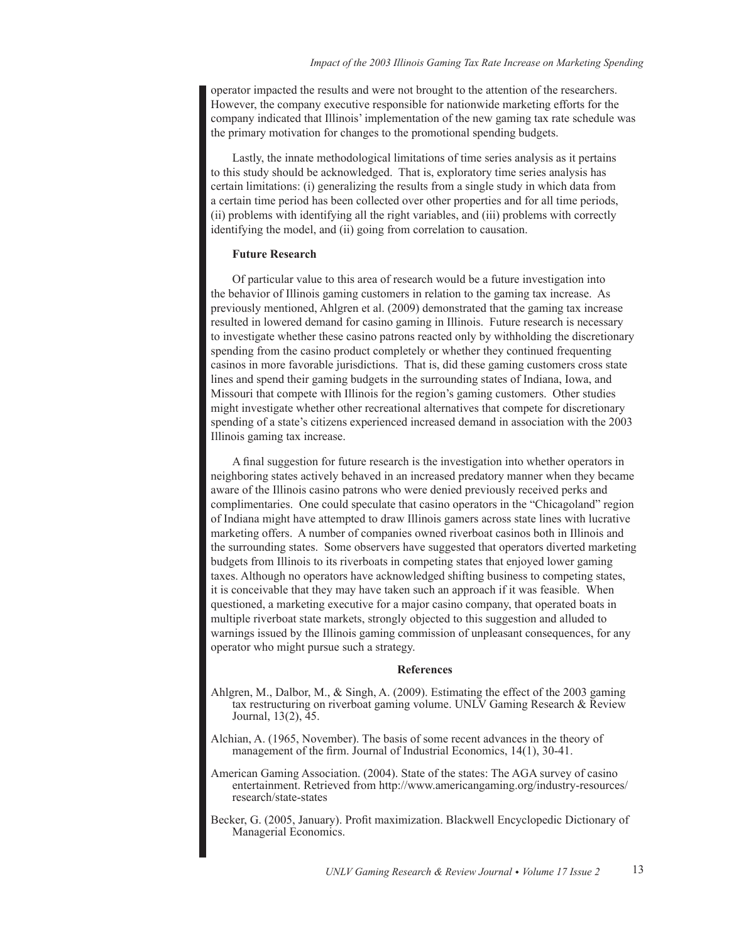operator impacted the results and were not brought to the attention of the researchers. However, the company executive responsible for nationwide marketing efforts for the company indicated that Illinois' implementation of the new gaming tax rate schedule was the primary motivation for changes to the promotional spending budgets.

Lastly, the innate methodological limitations of time series analysis as it pertains to this study should be acknowledged. That is, exploratory time series analysis has certain limitations: (i) generalizing the results from a single study in which data from a certain time period has been collected over other properties and for all time periods, (ii) problems with identifying all the right variables, and (iii) problems with correctly identifying the model, and (ii) going from correlation to causation.

## **Future Research**

Of particular value to this area of research would be a future investigation into the behavior of Illinois gaming customers in relation to the gaming tax increase. As previously mentioned, Ahlgren et al. (2009) demonstrated that the gaming tax increase resulted in lowered demand for casino gaming in Illinois. Future research is necessary to investigate whether these casino patrons reacted only by withholding the discretionary spending from the casino product completely or whether they continued frequenting casinos in more favorable jurisdictions. That is, did these gaming customers cross state lines and spend their gaming budgets in the surrounding states of Indiana, Iowa, and Missouri that compete with Illinois for the region's gaming customers. Other studies might investigate whether other recreational alternatives that compete for discretionary spending of a state's citizens experienced increased demand in association with the 2003 Illinois gaming tax increase.

A final suggestion for future research is the investigation into whether operators in neighboring states actively behaved in an increased predatory manner when they became aware of the Illinois casino patrons who were denied previously received perks and complimentaries. One could speculate that casino operators in the "Chicagoland" region of Indiana might have attempted to draw Illinois gamers across state lines with lucrative marketing offers. A number of companies owned riverboat casinos both in Illinois and the surrounding states. Some observers have suggested that operators diverted marketing budgets from Illinois to its riverboats in competing states that enjoyed lower gaming taxes. Although no operators have acknowledged shifting business to competing states, It is conceivable that they may have taken such an approach if it was feasible. When questioned, a marketing executive for a major casino company, that operated boats in multiple riverboat state markets, strongly objected to this suggestion and alluded to warnings issued by the Illinois gaming commission of unpleasant consequences, for any operator who might pursue such a strategy.

#### **References**

- Ahlgren, M., Dalbor, M.,  $\&$  Singh, A. (2009). Estimating the effect of the 2003 gaming tax restructuring on riverboat gaming volume. UNLV Gaming Research  $&$  Review Journal,  $13(2)$ ,  $45$ .
- Alchian, A. (1965, November). The basis of some recent advances in the theory of management of the firm. Journal of Industrial Economics,  $14(1)$ ,  $30-41$ .
- American Gaming Association. (2004). State of the states: The AGA survey of casino entertainment. Retrieved from http://www.americangaming.org/industry-resources/ research/state-states
- Becker, G. (2005, January). Profit maximization. Blackwell Encyclopedic Dictionary of Managerial Economics.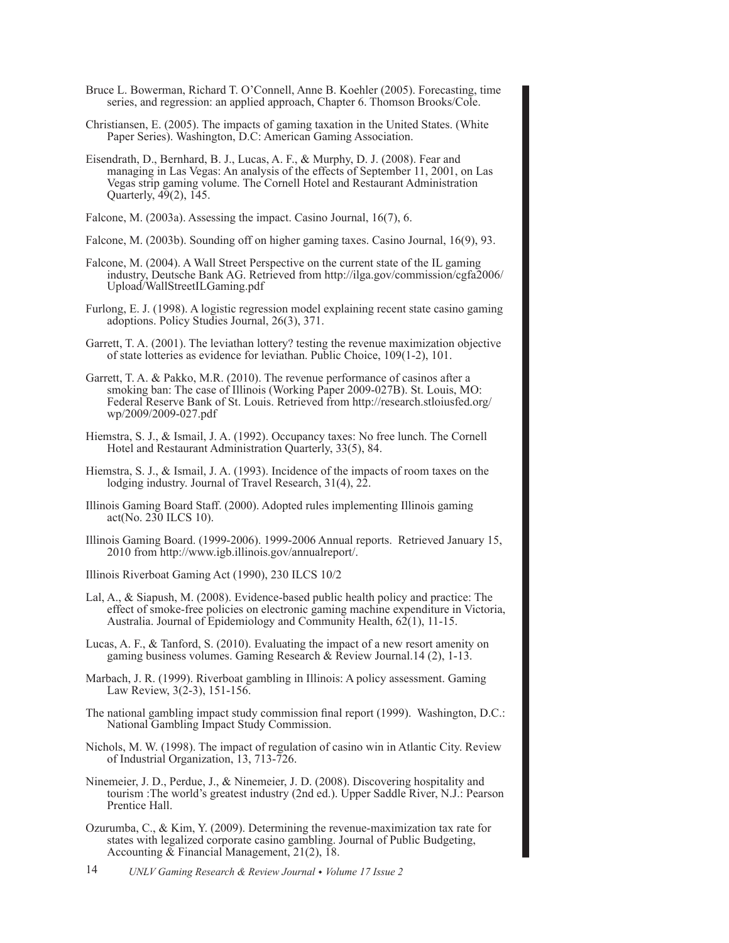- Bruce L. Bowerman, Richard T. O'Connell, Anne B. Koehler (2005). Forecasting, time series, and regression: an applied approach, Chapter 6. Thomson Brooks/Cole.
- Christiansen, E. (2005). The impacts of gaming taxation in the United States. (White Paper Series). Washington, D.C: American Gaming Association.
- Eisendrath, D., Bernhard, B. J., Lucas, A. F., & Murphy, D. J. (2008). Fear and managing in Las Vegas: An analysis of the effects of September 11, 2001, on Las Vegas strip gaming volume. The Cornell Hotel and Restaurant Administration Quarterly, 49(2), 145.
- Falcone, M. (2003a). Assessing the impact. Casino Journal, 16(7), 6.
- Falcone, M. (2003b). Sounding off on higher gaming taxes. Casino Journal, 16(9), 93.
- Falcone, M. (2004). A Wall Street Perspective on the current state of the IL gaming industry, Deutsche Bank AG. Retrieved from http://ilga.gov/commission/cgfa2006/ Upload/WallStreetILGaming.pdf
- Furlong, E. J. (1998). A logistic regression model explaining recent state casino gaming adoptions. Policy Studies Journal, 26(3), 371.
- Garrett, T. A. (2001). The leviathan lottery? testing the revenue maximization objective of state lotteries as evidence for leviathan. Public Choice, 109(1-2), 101.
- Garrett, T. A. & Pakko, M.R. (2010). The revenue performance of casinos after a smoking ban: The case of Illinois (Working Paper 2009-027B). St. Louis, MO: Federal Reserve Bank of St. Louis. Retrieved from http://research.stloiusfed.org/ wp/2009/2009-027.pdf
- Hiemstra, S. J., & Ismail, J. A. (1992). Occupancy taxes: No free lunch. The Cornell Hotel and Restaurant Administration Quarterly, 33(5), 84.
- Hiemstra, S. J., & Ismail, J. A. (1993). Incidence of the impacts of room taxes on the lodging industry. Journal of Travel Research, 31(4), 22.
- Illinois Gaming Board Staff. (2000). Adopted rules implementing Illinois gaming act(No. 230 ILCS 10).
- Illinois Gaming Board. (1999-2006). 1999-2006 Annual reports. Retrieved January 15, 2010 from http://www.igb.illinois.gov/annualreport/.
- Illinois Riverboat Gaming Act (1990), 230 ILCS 10/2
- Lal, A., & Siapush, M. (2008). Evidence-based public health policy and practice: The effect of smoke-free policies on electronic gaming machine expenditure in Victoria, Australia. Journal of Epidemiology and Community Health, 62(1), 11-15.
- Lucas, A. F., & Tanford, S. (2010). Evaluating the impact of a new resort amenity on gaming business volumes. Gaming Research & Review Journal.  $14$  (2),  $1-13$ .
- Marbach, J. R. (1999). Riverboat gambling in Illinois: A policy assessment. Gaming Law Review, 3(2-3), 151-156.
- The national gambling impact study commission final report (1999). Washington, D.C.: National Gambling Impact Study Commission.
- Nichols, M. W. (1998). The impact of regulation of casino win in Atlantic City. Review of Industrial Organization, 13, 713-726.
- Ninemeier, J. D., Perdue, J., & Ninemeier, J. D. (2008). Discovering hospitality and tourism: The world's greatest industry (2nd ed.). Upper Saddle River, N.J.: Pearson Prentice Hall.
- Ozurumba, C., & Kim, Y. (2009). Determining the revenue-maximization tax rate for states with legalized corporate casino gambling. Journal of Public Budgeting, Accounting & Financial Management, 21(2), 18.

<sup>14</sup> UNLV Gaming Research & Review Journal • Volume 17 Issue 2